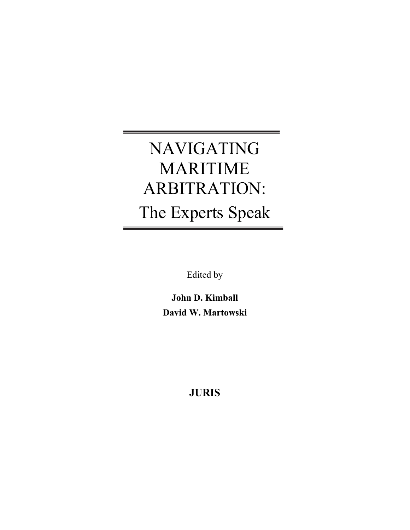# NAVIGATING MARITIME ARBITRATION: The Experts Speak

Edited by

**John D. Kimball David W. Martowski** 

## **JURIS**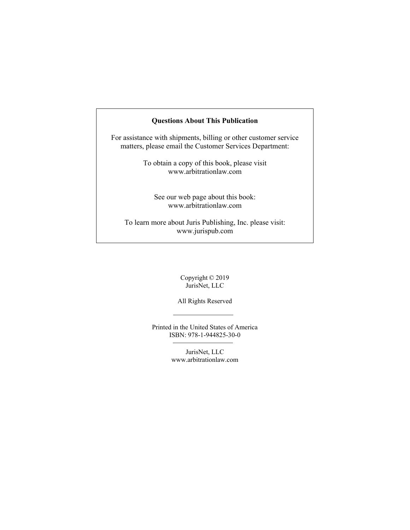#### **Questions About This Publication**

For assistance with shipments, billing or other customer service matters, please email the Customer Services Department:

> To obtain a copy of this book, please visit www.arbitrationlaw.com

See our web page about this book: www.arbitrationlaw.com

To learn more about Juris Publishing, Inc. please visit: www.jurispub.com

> Copyright © 2019 JurisNet, LLC

All Rights Reserved

Printed in the United States of America ISBN: 978-1-944825-30-0

> JurisNet, LLC www.arbitrationlaw.com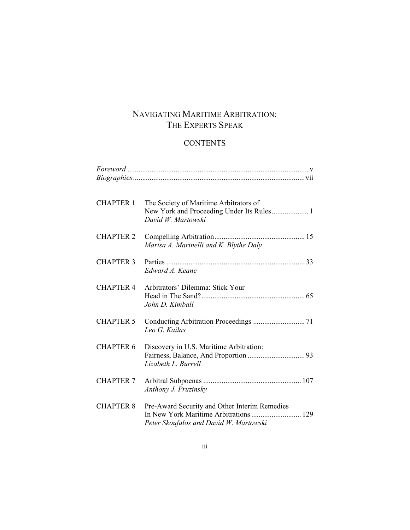## NAVIGATING MARITIME ARBITRATION: THE EXPERTS SPEAK

### **CONTENTS**

| <b>CHAPTER 1</b> | The Society of Maritime Arbitrators of<br>New York and Proceeding Under Its Rules 1<br>David W. Martowski                         |
|------------------|-----------------------------------------------------------------------------------------------------------------------------------|
| <b>CHAPTER 2</b> | Marisa A. Marinelli and K. Blythe Daly                                                                                            |
| <b>CHAPTER 3</b> | Edward A. Keane                                                                                                                   |
| <b>CHAPTER 4</b> | Arbitrators' Dilemma: Stick Your<br>John D. Kimball                                                                               |
| <b>CHAPTER 5</b> | Leo G. Kailas                                                                                                                     |
| <b>CHAPTER 6</b> | Discovery in U.S. Maritime Arbitration:<br>Lizabeth L. Burrell                                                                    |
| <b>CHAPTER 7</b> | Anthony J. Pruzinsky                                                                                                              |
| <b>CHAPTER 8</b> | Pre-Award Security and Other Interim Remedies<br>In New York Maritime Arbitrations  129<br>Peter Skoufalos and David W. Martowski |